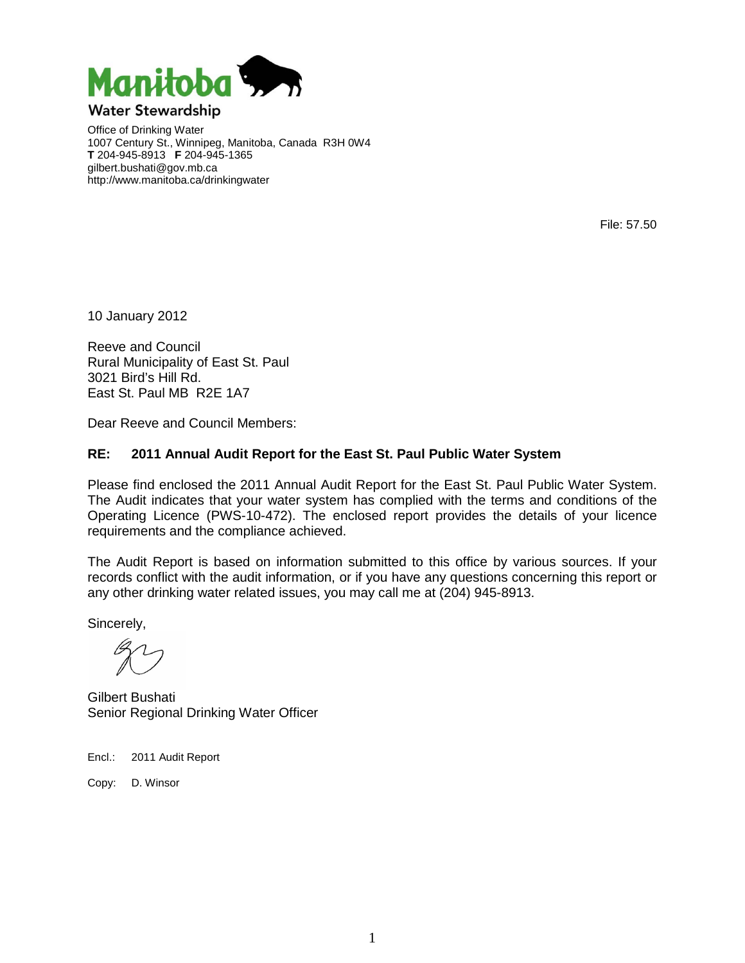

Office of Drinking Water 1007 Century St., Winnipeg, Manitoba, Canada R3H 0W4 **T** 204-945-8913 **F** 204-945-1365 gilbert.bushati@gov.mb.ca http://www.manitoba.ca/drinkingwater

File: 57.50

10 January 2012

Reeve and Council Rural Municipality of East St. Paul 3021 Bird's Hill Rd. East St. Paul MB R2E 1A7

Dear Reeve and Council Members:

## **RE: 2011 Annual Audit Report for the East St. Paul Public Water System**

Please find enclosed the 2011 Annual Audit Report for the East St. Paul Public Water System. The Audit indicates that your water system has complied with the terms and conditions of the Operating Licence (PWS-10-472). The enclosed report provides the details of your licence requirements and the compliance achieved.

The Audit Report is based on information submitted to this office by various sources. If your records conflict with the audit information, or if you have any questions concerning this report or any other drinking water related issues, you may call me at (204) 945-8913.

Sincerely,

Gilbert Bushati Senior Regional Drinking Water Officer

Encl.: 2011 Audit Report

Copy: D. Winsor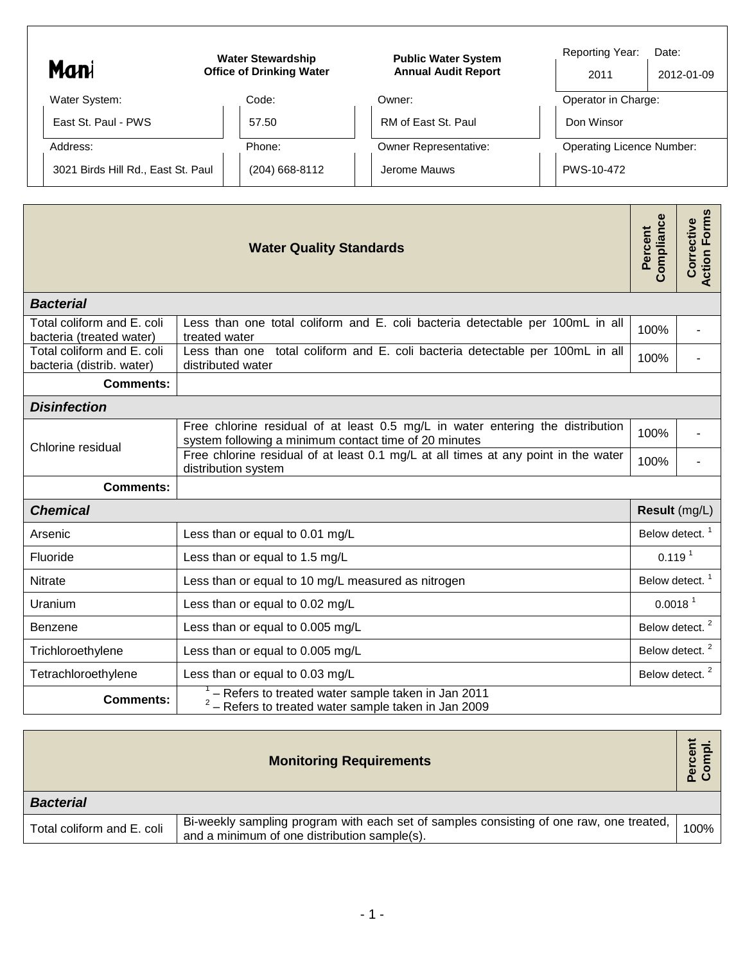| Mani                               | <b>Water Stewardship</b><br><b>Office of Drinking Water</b> |                | <b>Public Water System</b><br><b>Annual Audit Report</b> |  | <b>Reporting Year:</b><br>Date:<br>2012-01-09<br>2011 |  |  |
|------------------------------------|-------------------------------------------------------------|----------------|----------------------------------------------------------|--|-------------------------------------------------------|--|--|
| Water System:                      |                                                             | Code:          | Owner:                                                   |  | Operator in Charge:                                   |  |  |
| East St. Paul - PWS                |                                                             | 57.50          | RM of East St. Paul                                      |  | Don Winsor                                            |  |  |
| Address:                           |                                                             | Phone:         | <b>Owner Representative:</b>                             |  | <b>Operating Licence Number:</b>                      |  |  |
| 3021 Birds Hill Rd., East St. Paul |                                                             | (204) 668-8112 | Jerome Mauws                                             |  | PWS-10-472                                            |  |  |
|                                    |                                                             |                |                                                          |  |                                                       |  |  |
|                                    |                                                             |                |                                                          |  |                                                       |  |  |

ा

|                                                                                                                                  | <b>Water Quality Standards</b>                                                                                                          | Compliance<br>Percent      | <b>Action Forms</b><br>Corrective |  |  |  |
|----------------------------------------------------------------------------------------------------------------------------------|-----------------------------------------------------------------------------------------------------------------------------------------|----------------------------|-----------------------------------|--|--|--|
| <b>Bacterial</b>                                                                                                                 |                                                                                                                                         |                            |                                   |  |  |  |
| Total coliform and E. coli<br>bacteria (treated water)                                                                           | Less than one total coliform and E. coli bacteria detectable per 100mL in all<br>100%<br>treated water                                  |                            |                                   |  |  |  |
| Total coliform and E. coli<br>bacteria (distrib. water)                                                                          | Less than one total coliform and E. coli bacteria detectable per 100mL in all<br>distributed water                                      | 100%                       |                                   |  |  |  |
| <b>Comments:</b>                                                                                                                 |                                                                                                                                         |                            |                                   |  |  |  |
| <b>Disinfection</b>                                                                                                              |                                                                                                                                         |                            |                                   |  |  |  |
| Chlorine residual                                                                                                                | Free chlorine residual of at least 0.5 mg/L in water entering the distribution<br>system following a minimum contact time of 20 minutes |                            |                                   |  |  |  |
|                                                                                                                                  | Free chlorine residual of at least 0.1 mg/L at all times at any point in the water<br>distribution system                               | 100%                       |                                   |  |  |  |
| <b>Comments:</b>                                                                                                                 |                                                                                                                                         |                            |                                   |  |  |  |
| <b>Chemical</b>                                                                                                                  |                                                                                                                                         | Result (mg/L)              |                                   |  |  |  |
| Less than or equal to 0.01 mg/L<br>Arsenic                                                                                       |                                                                                                                                         | Below detect. <sup>1</sup> |                                   |  |  |  |
| Fluoride<br>Less than or equal to 1.5 mg/L                                                                                       |                                                                                                                                         | 0.119 <sup>1</sup>         |                                   |  |  |  |
| Less than or equal to 10 mg/L measured as nitrogen<br><b>Nitrate</b>                                                             |                                                                                                                                         | Below detect. <sup>1</sup> |                                   |  |  |  |
| Less than or equal to 0.02 mg/L<br>Uranium                                                                                       |                                                                                                                                         | 0.0018 <sup>1</sup>        |                                   |  |  |  |
| Less than or equal to 0.005 mg/L<br><b>Benzene</b>                                                                               |                                                                                                                                         |                            | Below detect. <sup>2</sup>        |  |  |  |
| Trichloroethylene<br>Less than or equal to 0.005 mg/L                                                                            |                                                                                                                                         | Below detect. <sup>2</sup> |                                   |  |  |  |
| Tetrachloroethylene                                                                                                              | Less than or equal to 0.03 mg/L                                                                                                         |                            | Below detect. <sup>2</sup>        |  |  |  |
| - Refers to treated water sample taken in Jan 2011<br><b>Comments:</b><br>$2 -$ Refers to treated water sample taken in Jan 2009 |                                                                                                                                         |                            |                                   |  |  |  |

| <b>Monitoring Requirements</b> |                                                                                                                                         |      |  |  |  |
|--------------------------------|-----------------------------------------------------------------------------------------------------------------------------------------|------|--|--|--|
| <b>Bacterial</b>               |                                                                                                                                         |      |  |  |  |
| Total coliform and E. coli     | Bi-weekly sampling program with each set of samples consisting of one raw, one treated,<br>and a minimum of one distribution sample(s). | 100% |  |  |  |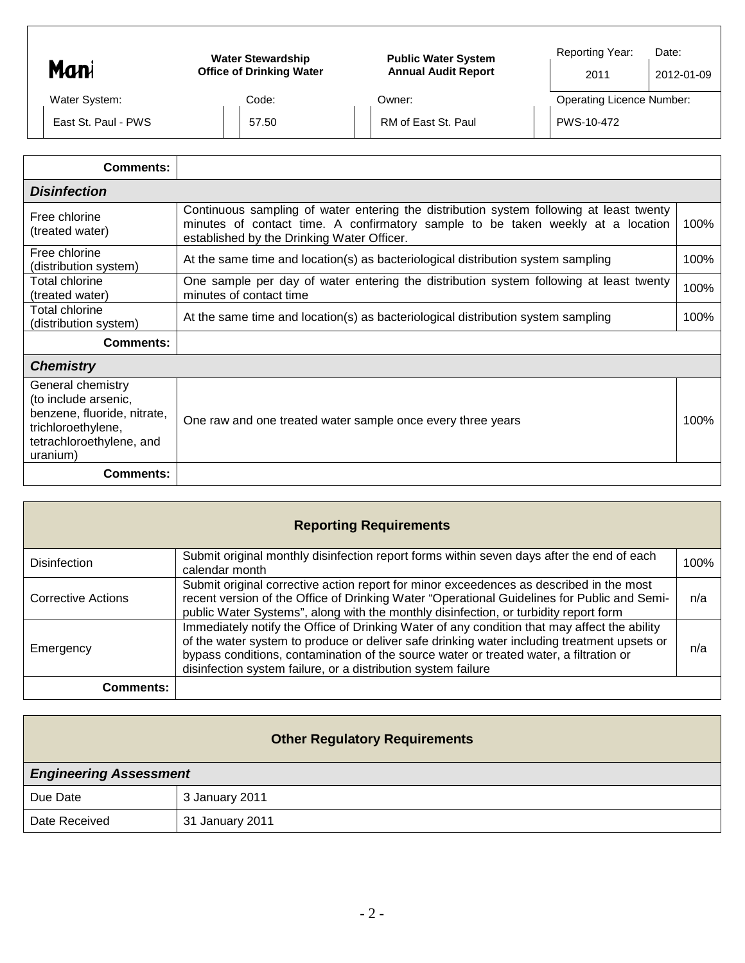| Mani                                                                                                                                   | <b>Water Stewardship</b><br><b>Office of Drinking Water</b>                                                       | <b>Public Water System</b><br><b>Annual Audit Report</b>                                                                                                                   | Reporting Year:<br>Date:<br>2011 | 2012-01-09 |
|----------------------------------------------------------------------------------------------------------------------------------------|-------------------------------------------------------------------------------------------------------------------|----------------------------------------------------------------------------------------------------------------------------------------------------------------------------|----------------------------------|------------|
| Water System:                                                                                                                          | Code:                                                                                                             | Owner:                                                                                                                                                                     | <b>Operating Licence Number:</b> |            |
| East St. Paul - PWS                                                                                                                    | 57.50                                                                                                             | RM of East St. Paul                                                                                                                                                        | PWS-10-472                       |            |
| <b>Comments:</b>                                                                                                                       |                                                                                                                   |                                                                                                                                                                            |                                  |            |
| <b>Disinfection</b>                                                                                                                    |                                                                                                                   |                                                                                                                                                                            |                                  |            |
| Free chlorine<br>(treated water)                                                                                                       | established by the Drinking Water Officer.                                                                        | Continuous sampling of water entering the distribution system following at least twenty<br>minutes of contact time. A confirmatory sample to be taken weekly at a location |                                  | 100%       |
| Free chlorine<br>(distribution system)                                                                                                 | At the same time and location(s) as bacteriological distribution system sampling                                  |                                                                                                                                                                            |                                  | 100%       |
| Total chlorine<br>(treated water)                                                                                                      | One sample per day of water entering the distribution system following at least twenty<br>minutes of contact time |                                                                                                                                                                            |                                  | 100%       |
| Total chlorine<br>(distribution system)                                                                                                |                                                                                                                   | At the same time and location(s) as bacteriological distribution system sampling                                                                                           |                                  |            |
| <b>Comments:</b>                                                                                                                       |                                                                                                                   |                                                                                                                                                                            |                                  |            |
| <b>Chemistry</b>                                                                                                                       |                                                                                                                   |                                                                                                                                                                            |                                  |            |
| General chemistry<br>(to include arsenic,<br>benzene, fluoride, nitrate,<br>trichloroethylene,<br>tetrachloroethylene, and<br>uranium) |                                                                                                                   | One raw and one treated water sample once every three years                                                                                                                |                                  | 100%       |
| <b>Comments:</b>                                                                                                                       |                                                                                                                   |                                                                                                                                                                            |                                  |            |

| <b>Reporting Requirements</b> |                                                                                                                                                                                                                                                                                                                                                        |      |  |  |  |  |
|-------------------------------|--------------------------------------------------------------------------------------------------------------------------------------------------------------------------------------------------------------------------------------------------------------------------------------------------------------------------------------------------------|------|--|--|--|--|
| <b>Disinfection</b>           | Submit original monthly disinfection report forms within seven days after the end of each<br>calendar month                                                                                                                                                                                                                                            | 100% |  |  |  |  |
| <b>Corrective Actions</b>     | Submit original corrective action report for minor exceedences as described in the most<br>recent version of the Office of Drinking Water "Operational Guidelines for Public and Semi-<br>public Water Systems", along with the monthly disinfection, or turbidity report form                                                                         | n/a  |  |  |  |  |
| Emergency                     | Immediately notify the Office of Drinking Water of any condition that may affect the ability<br>of the water system to produce or deliver safe drinking water including treatment upsets or<br>bypass conditions, contamination of the source water or treated water, a filtration or<br>disinfection system failure, or a distribution system failure | n/a  |  |  |  |  |
| Comments:                     |                                                                                                                                                                                                                                                                                                                                                        |      |  |  |  |  |

| <b>Other Regulatory Requirements</b> |                 |  |  |  |  |
|--------------------------------------|-----------------|--|--|--|--|
| <b>Engineering Assessment</b>        |                 |  |  |  |  |
| Due Date                             | 3 January 2011  |  |  |  |  |
| Date Received                        | 31 January 2011 |  |  |  |  |